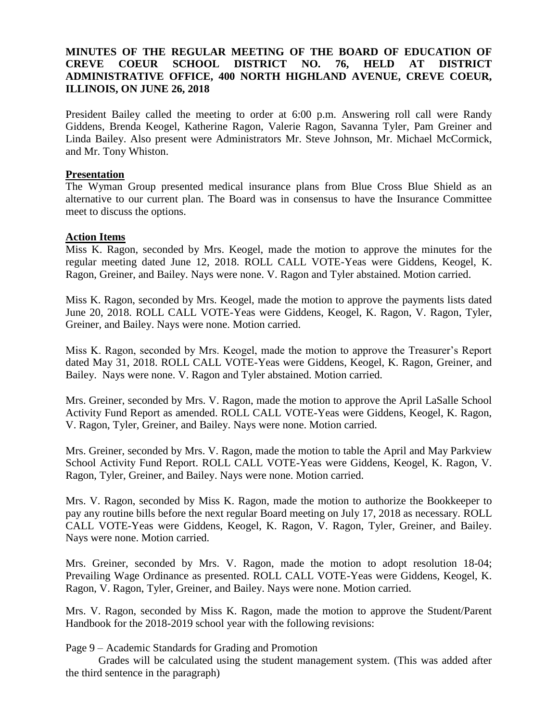# **MINUTES OF THE REGULAR MEETING OF THE BOARD OF EDUCATION OF CREVE COEUR SCHOOL DISTRICT NO. 76, HELD AT DISTRICT ADMINISTRATIVE OFFICE, 400 NORTH HIGHLAND AVENUE, CREVE COEUR, ILLINOIS, ON JUNE 26, 2018**

President Bailey called the meeting to order at 6:00 p.m. Answering roll call were Randy Giddens, Brenda Keogel, Katherine Ragon, Valerie Ragon, Savanna Tyler, Pam Greiner and Linda Bailey. Also present were Administrators Mr. Steve Johnson, Mr. Michael McCormick, and Mr. Tony Whiston.

### **Presentation**

The Wyman Group presented medical insurance plans from Blue Cross Blue Shield as an alternative to our current plan. The Board was in consensus to have the Insurance Committee meet to discuss the options.

### **Action Items**

Miss K. Ragon, seconded by Mrs. Keogel, made the motion to approve the minutes for the regular meeting dated June 12, 2018. ROLL CALL VOTE-Yeas were Giddens, Keogel, K. Ragon, Greiner, and Bailey. Nays were none. V. Ragon and Tyler abstained. Motion carried.

Miss K. Ragon, seconded by Mrs. Keogel, made the motion to approve the payments lists dated June 20, 2018. ROLL CALL VOTE-Yeas were Giddens, Keogel, K. Ragon, V. Ragon, Tyler, Greiner, and Bailey. Nays were none. Motion carried.

Miss K. Ragon, seconded by Mrs. Keogel, made the motion to approve the Treasurer's Report dated May 31, 2018. ROLL CALL VOTE-Yeas were Giddens, Keogel, K. Ragon, Greiner, and Bailey. Nays were none. V. Ragon and Tyler abstained. Motion carried.

Mrs. Greiner, seconded by Mrs. V. Ragon, made the motion to approve the April LaSalle School Activity Fund Report as amended. ROLL CALL VOTE-Yeas were Giddens, Keogel, K. Ragon, V. Ragon, Tyler, Greiner, and Bailey. Nays were none. Motion carried.

Mrs. Greiner, seconded by Mrs. V. Ragon, made the motion to table the April and May Parkview School Activity Fund Report. ROLL CALL VOTE-Yeas were Giddens, Keogel, K. Ragon, V. Ragon, Tyler, Greiner, and Bailey. Nays were none. Motion carried.

Mrs. V. Ragon, seconded by Miss K. Ragon, made the motion to authorize the Bookkeeper to pay any routine bills before the next regular Board meeting on July 17, 2018 as necessary. ROLL CALL VOTE-Yeas were Giddens, Keogel, K. Ragon, V. Ragon, Tyler, Greiner, and Bailey. Nays were none. Motion carried.

Mrs. Greiner, seconded by Mrs. V. Ragon, made the motion to adopt resolution 18-04; Prevailing Wage Ordinance as presented. ROLL CALL VOTE-Yeas were Giddens, Keogel, K. Ragon, V. Ragon, Tyler, Greiner, and Bailey. Nays were none. Motion carried.

Mrs. V. Ragon, seconded by Miss K. Ragon, made the motion to approve the Student/Parent Handbook for the 2018-2019 school year with the following revisions:

Page 9 – Academic Standards for Grading and Promotion

Grades will be calculated using the student management system. (This was added after the third sentence in the paragraph)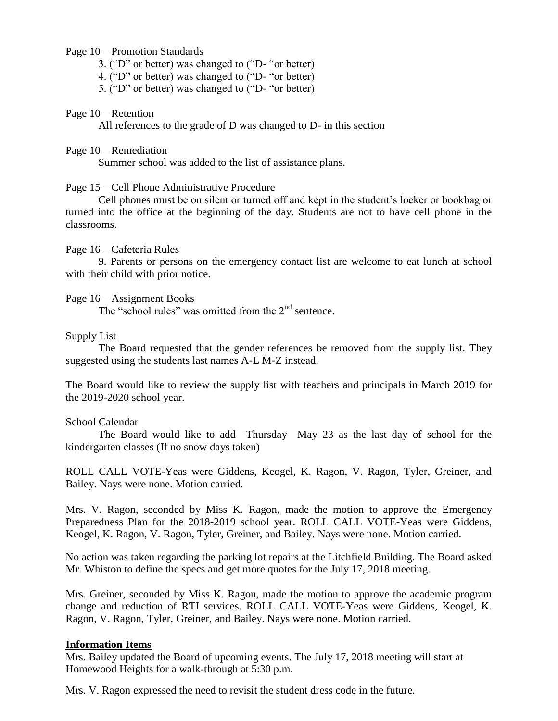### Page 10 – Promotion Standards

3. ("D" or better) was changed to ("D- "or better)

4. ("D" or better) was changed to ("D- "or better)

5. ("D" or better) was changed to ("D- "or better)

#### Page 10 – Retention

All references to the grade of D was changed to D- in this section

### Page 10 – Remediation

Summer school was added to the list of assistance plans.

## Page 15 – Cell Phone Administrative Procedure

Cell phones must be on silent or turned off and kept in the student's locker or bookbag or turned into the office at the beginning of the day. Students are not to have cell phone in the classrooms.

### Page 16 – Cafeteria Rules

9. Parents or persons on the emergency contact list are welcome to eat lunch at school with their child with prior notice.

### Page 16 – Assignment Books

The "school rules" was omitted from the 2<sup>nd</sup> sentence.

### Supply List

The Board requested that the gender references be removed from the supply list. They suggested using the students last names A-L M-Z instead.

The Board would like to review the supply list with teachers and principals in March 2019 for the 2019-2020 school year.

#### School Calendar

The Board would like to add Thursday May 23 as the last day of school for the kindergarten classes (If no snow days taken)

ROLL CALL VOTE-Yeas were Giddens, Keogel, K. Ragon, V. Ragon, Tyler, Greiner, and Bailey. Nays were none. Motion carried.

Mrs. V. Ragon, seconded by Miss K. Ragon, made the motion to approve the Emergency Preparedness Plan for the 2018-2019 school year. ROLL CALL VOTE-Yeas were Giddens, Keogel, K. Ragon, V. Ragon, Tyler, Greiner, and Bailey. Nays were none. Motion carried.

No action was taken regarding the parking lot repairs at the Litchfield Building. The Board asked Mr. Whiston to define the specs and get more quotes for the July 17, 2018 meeting.

Mrs. Greiner, seconded by Miss K. Ragon, made the motion to approve the academic program change and reduction of RTI services. ROLL CALL VOTE-Yeas were Giddens, Keogel, K. Ragon, V. Ragon, Tyler, Greiner, and Bailey. Nays were none. Motion carried.

## **Information Items**

Mrs. Bailey updated the Board of upcoming events. The July 17, 2018 meeting will start at Homewood Heights for a walk-through at 5:30 p.m.

Mrs. V. Ragon expressed the need to revisit the student dress code in the future.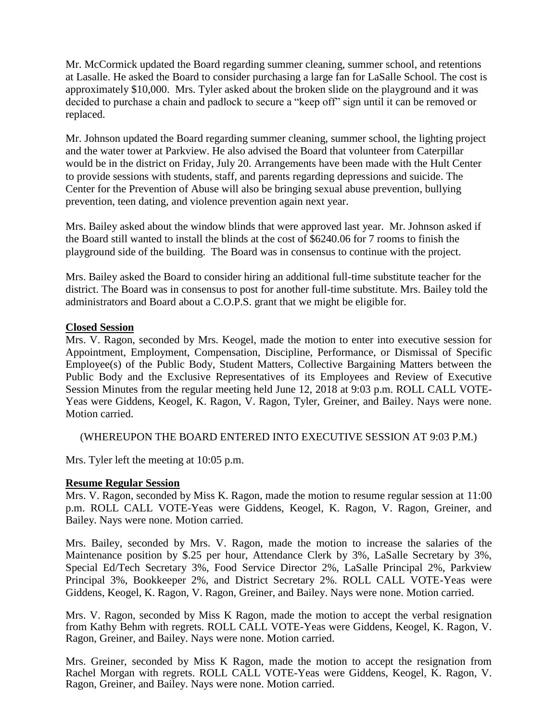Mr. McCormick updated the Board regarding summer cleaning, summer school, and retentions at Lasalle. He asked the Board to consider purchasing a large fan for LaSalle School. The cost is approximately \$10,000. Mrs. Tyler asked about the broken slide on the playground and it was decided to purchase a chain and padlock to secure a "keep off" sign until it can be removed or replaced.

Mr. Johnson updated the Board regarding summer cleaning, summer school, the lighting project and the water tower at Parkview. He also advised the Board that volunteer from Caterpillar would be in the district on Friday, July 20. Arrangements have been made with the Hult Center to provide sessions with students, staff, and parents regarding depressions and suicide. The Center for the Prevention of Abuse will also be bringing sexual abuse prevention, bullying prevention, teen dating, and violence prevention again next year.

Mrs. Bailey asked about the window blinds that were approved last year. Mr. Johnson asked if the Board still wanted to install the blinds at the cost of \$6240.06 for 7 rooms to finish the playground side of the building. The Board was in consensus to continue with the project.

Mrs. Bailey asked the Board to consider hiring an additional full-time substitute teacher for the district. The Board was in consensus to post for another full-time substitute. Mrs. Bailey told the administrators and Board about a C.O.P.S. grant that we might be eligible for.

## **Closed Session**

Mrs. V. Ragon, seconded by Mrs. Keogel, made the motion to enter into executive session for Appointment, Employment, Compensation, Discipline, Performance, or Dismissal of Specific Employee(s) of the Public Body, Student Matters, Collective Bargaining Matters between the Public Body and the Exclusive Representatives of its Employees and Review of Executive Session Minutes from the regular meeting held June 12, 2018 at 9:03 p.m. ROLL CALL VOTE-Yeas were Giddens, Keogel, K. Ragon, V. Ragon, Tyler, Greiner, and Bailey. Nays were none. Motion carried.

(WHEREUPON THE BOARD ENTERED INTO EXECUTIVE SESSION AT 9:03 P.M.)

Mrs. Tyler left the meeting at 10:05 p.m.

## **Resume Regular Session**

Mrs. V. Ragon, seconded by Miss K. Ragon, made the motion to resume regular session at 11:00 p.m. ROLL CALL VOTE-Yeas were Giddens, Keogel, K. Ragon, V. Ragon, Greiner, and Bailey. Nays were none. Motion carried.

Mrs. Bailey, seconded by Mrs. V. Ragon, made the motion to increase the salaries of the Maintenance position by \$.25 per hour, Attendance Clerk by 3%, LaSalle Secretary by 3%, Special Ed/Tech Secretary 3%, Food Service Director 2%, LaSalle Principal 2%, Parkview Principal 3%, Bookkeeper 2%, and District Secretary 2%. ROLL CALL VOTE-Yeas were Giddens, Keogel, K. Ragon, V. Ragon, Greiner, and Bailey. Nays were none. Motion carried.

Mrs. V. Ragon, seconded by Miss K Ragon, made the motion to accept the verbal resignation from Kathy Behm with regrets. ROLL CALL VOTE-Yeas were Giddens, Keogel, K. Ragon, V. Ragon, Greiner, and Bailey. Nays were none. Motion carried.

Mrs. Greiner, seconded by Miss K Ragon, made the motion to accept the resignation from Rachel Morgan with regrets. ROLL CALL VOTE-Yeas were Giddens, Keogel, K. Ragon, V. Ragon, Greiner, and Bailey. Nays were none. Motion carried.